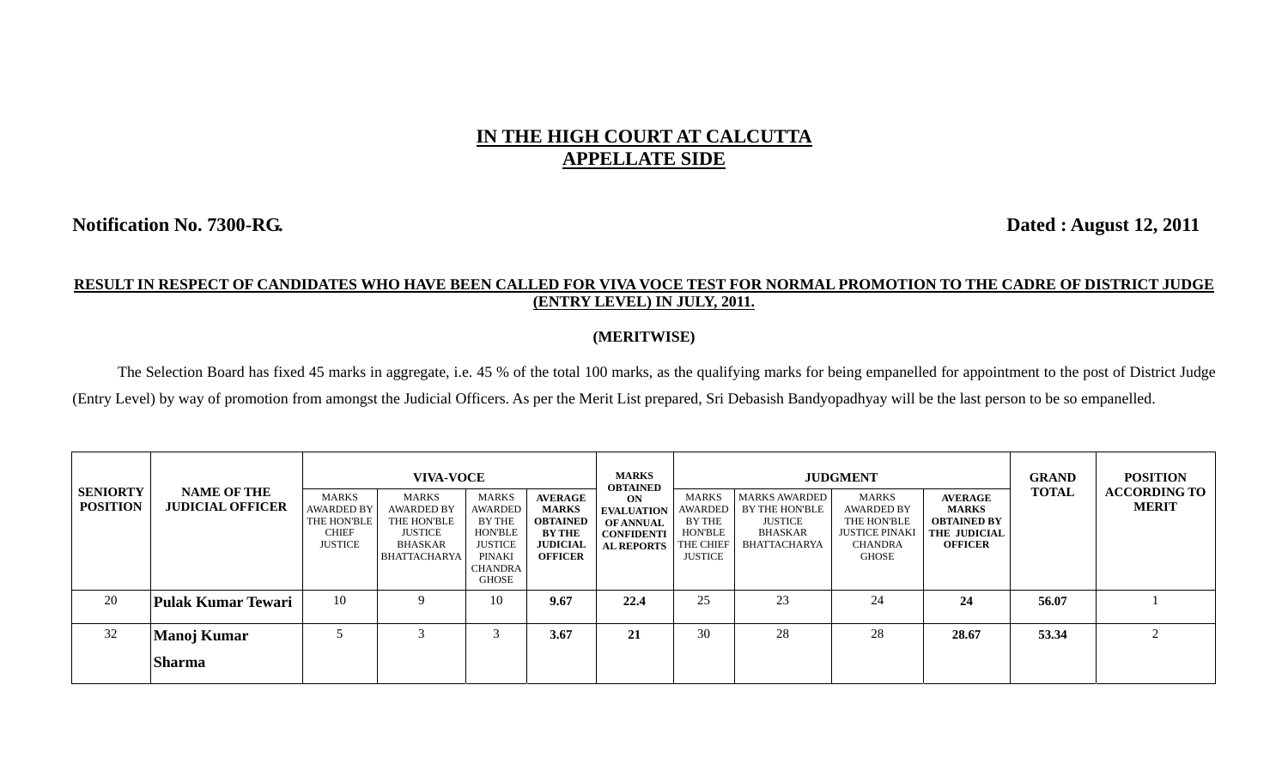## **IN THE HIGH COURT AT CALCUTTA APPELLATE SIDE**

**Notification No. 7300-RG. Dated : August 12, 2011** 

## **RESULT IN RESPECT OF CANDIDATES WHO HAVE BEEN CALLED FOR VIVA VOCE TEST FOR NORMAL PROMOTION TO THE CADRE OF DISTRICT JUDGE (ENTRY LEVEL) IN JULY, 2011.**

## **(MERITWISE)**

The Selection Board has fixed 45 marks in aggregate, i.e. 45 % of the total 100 marks, as the qualifying marks for being empanelled for appointment to the post of District Judge (Entry Level) by way of promotion from amongst the Judicial Officers. As per the Merit List prepared, Sri Debasish Bandyopadhyay will be the last person to be so empanelled.

| <b>SENIORTY</b><br><b>POSITION</b> | <b>NAME OF THE</b><br><b>JUDICIAL OFFICER</b> | <b>MARKS</b><br><b>AWARDED BY</b><br>THE HON'BLE<br><b>CHIEF</b><br><b>JUSTICE</b> | <b>VIVA-VOCE</b><br><b>MARKS</b><br><b>AWARDED BY</b><br>THE HON'BLE<br><b>JUSTICE</b><br><b>BHASKAR</b><br><b>BHATTACHARYA</b> | <b>MARKS</b><br><b>AWARDED</b><br>BY THE<br><b>HON'BLE</b><br><b>JUSTICE</b><br><b>PINAKI</b><br><b>CHANDRA</b><br>GHOSE | <b>AVERAGE</b><br><b>MARKS</b><br><b>OBTAINED</b><br><b>BY THE</b><br><b>JUDICIAL</b><br><b>OFFICER</b> | <b>MARKS</b><br><b>OBTAINED</b><br>ON<br><b>EVALUATION</b><br><b>OF ANNUAL</b><br><b>CONFIDENTI</b><br><b>AL REPORTS</b> | MARKS<br><b>AWARDED</b><br>BY THE<br><b>HON'BLE</b><br>THE CHIEF<br><b>JUSTICE</b> | <b>MARKS AWARDED</b><br><b>BY THE HON'BLE</b><br><b>JUSTICE</b><br><b>BHASKAR</b><br>BHATTACHARYA | <b>JUDGMENT</b><br><b>MARKS</b><br><b>AWARDED BY</b><br>THE HON'BLE<br><b>JUSTICE PINAKI</b><br><b>CHANDRA</b><br><b>GHOSE</b> | <b>AVERAGE</b><br><b>MARKS</b><br><b>OBTAINED BY</b><br><b>THE JUDICIAL</b><br><b>OFFICER</b> | <b>GRAND</b><br><b>TOTAL</b> | <b>POSITION</b><br><b>ACCORDING TO</b><br><b>MERIT</b> |
|------------------------------------|-----------------------------------------------|------------------------------------------------------------------------------------|---------------------------------------------------------------------------------------------------------------------------------|--------------------------------------------------------------------------------------------------------------------------|---------------------------------------------------------------------------------------------------------|--------------------------------------------------------------------------------------------------------------------------|------------------------------------------------------------------------------------|---------------------------------------------------------------------------------------------------|--------------------------------------------------------------------------------------------------------------------------------|-----------------------------------------------------------------------------------------------|------------------------------|--------------------------------------------------------|
| 20                                 | <b>Pulak Kumar Tewari</b>                     | 10                                                                                 | Q                                                                                                                               | 10                                                                                                                       | 9.67                                                                                                    | 22.4                                                                                                                     | 25                                                                                 | 23                                                                                                | 24                                                                                                                             | 24                                                                                            | 56.07                        |                                                        |
| 32                                 | <b>Manoj Kumar</b><br><b>Sharma</b>           |                                                                                    | ⌒                                                                                                                               |                                                                                                                          | 3.67                                                                                                    | 21                                                                                                                       | 30                                                                                 | 28                                                                                                | 28                                                                                                                             | 28.67                                                                                         | 53.34                        |                                                        |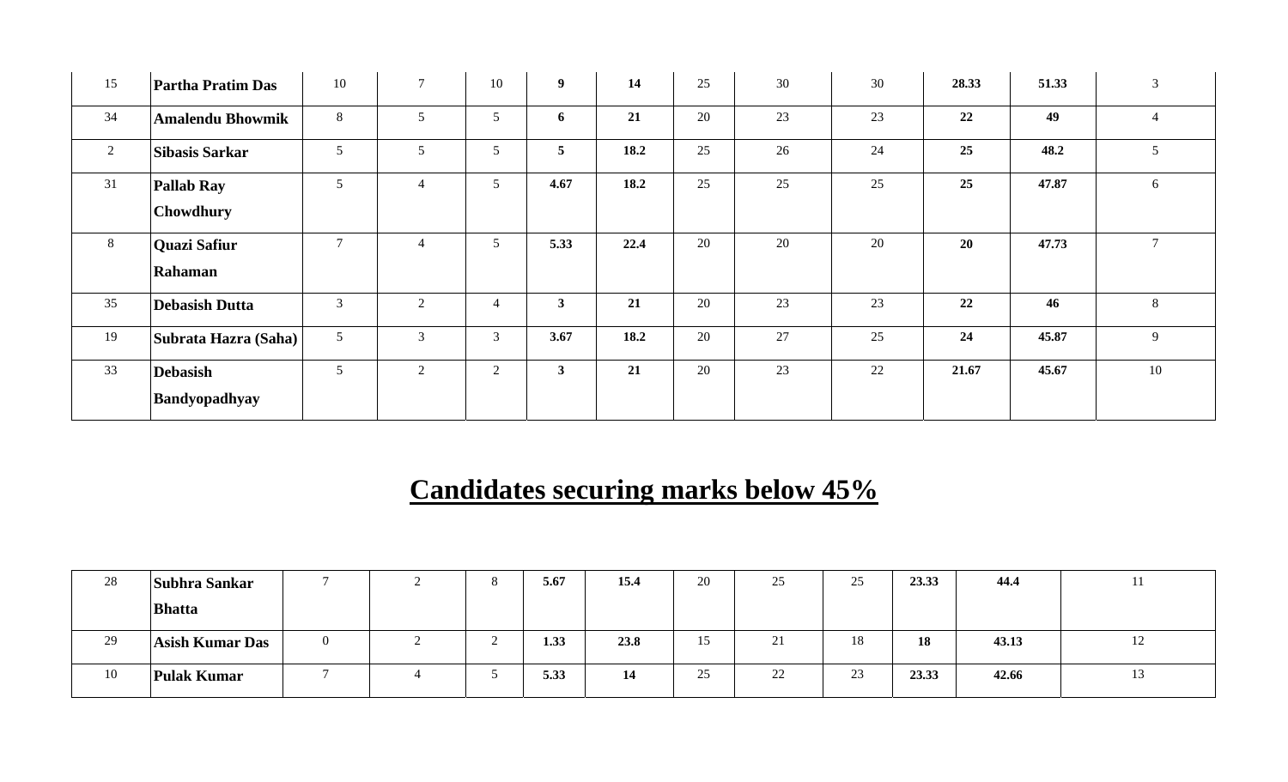| 15             | <b>Partha Pratim Das</b>       | 10             | $\tau$         | 10              | 9 <sup>1</sup> | 14   | 25     | 30     | 30 | 28.33 | 51.33 | 3              |
|----------------|--------------------------------|----------------|----------------|-----------------|----------------|------|--------|--------|----|-------|-------|----------------|
| 34             | <b>Amalendu Bhowmik</b>        | 8              | 5              | $5\overline{)}$ | 6              | 21   | 20     | 23     | 23 | 22    | 49    | $\overline{4}$ |
| $\overline{2}$ | <b>Sibasis Sarkar</b>          | 5              | 5              | 5               | 5              | 18.2 | 25     | 26     | 24 | 25    | 48.2  | 5 <sup>5</sup> |
| 31             | <b>Pallab Ray</b><br>Chowdhury | 5              | $\overline{4}$ | 5 <sup>5</sup>  | 4.67           | 18.2 | 25     | 25     | 25 | 25    | 47.87 | 6              |
| 8              | <b>Quazi Safiur</b><br>Rahaman | $\overline{7}$ | $\overline{4}$ | 5               | 5.33           | 22.4 | 20     | 20     | 20 | 20    | 47.73 | $\overline{7}$ |
| 35             | <b>Debasish Dutta</b>          | $\mathfrak{Z}$ | $\overline{2}$ | $\overline{4}$  | $\mathbf{3}$   | 21   | 20     | 23     | 23 | 22    | 46    | 8              |
| 19             | Subrata Hazra (Saha)           | $\sqrt{5}$     | $\overline{3}$ | 3               | 3.67           | 18.2 | $20\,$ | $27\,$ | 25 | 24    | 45.87 | 9              |
| 33             | <b>Debasish</b>                | 5              | 2              | $\overline{2}$  | $\mathbf{3}$   | 21   | 20     | 23     | 22 | 21.67 | 45.67 | 10             |
|                | Bandyopadhyay                  |                |                |                 |                |      |        |        |    |       |       |                |

## **Candidates securing marks below 45%**

| 28 | Subhra Sankar          |  | 5.67 | 15.4 | 20 | 25                      | 25<br>ت            | 23.33 | 44.4  | . . |
|----|------------------------|--|------|------|----|-------------------------|--------------------|-------|-------|-----|
|    | <b>Bhatta</b>          |  |      |      |    |                         |                    |       |       |     |
| 29 | <b>Asish Kumar Das</b> |  | 1.33 | 23.8 | 15 | $\bigcap$ 1<br>$\sim$ 1 | 18                 | 18    | 43.13 | 12  |
| 10 | <b>Pulak Kumar</b>     |  | 5.33 | 14   | 25 | 22                      | $2^{\circ}$<br>ر_ر | 23.33 | 42.66 | 13  |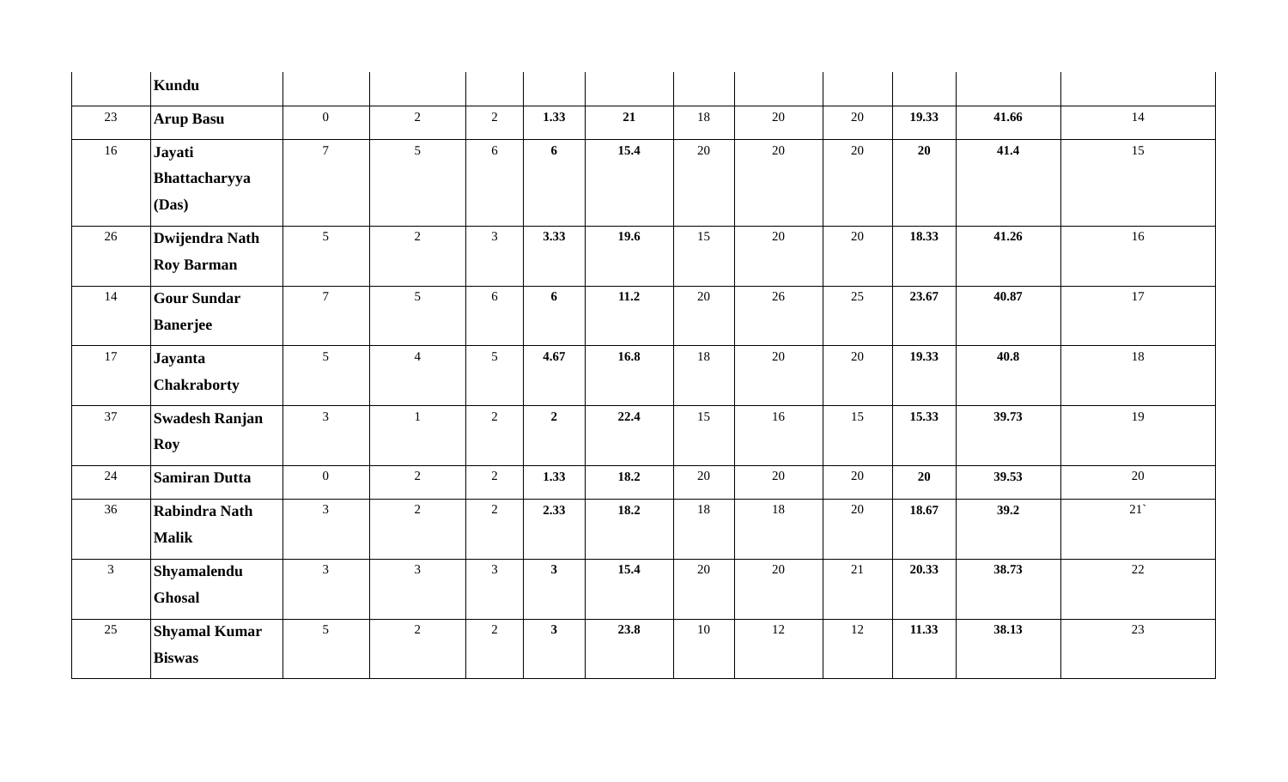|                | Kundu                 |                  |                |                |                |      |    |        |        |       |       |        |
|----------------|-----------------------|------------------|----------------|----------------|----------------|------|----|--------|--------|-------|-------|--------|
| 23             | <b>Arup Basu</b>      | $\overline{0}$   | 2              | $\overline{2}$ | 1.33           | 21   | 18 | 20     | 20     | 19.33 | 41.66 | 14     |
| 16             | Jayati                | $7\overline{ }$  | 5 <sup>5</sup> | 6              | 6              | 15.4 | 20 | 20     | 20     | 20    | 41.4  | 15     |
|                | Bhattacharyya         |                  |                |                |                |      |    |        |        |       |       |        |
|                | (Das)                 |                  |                |                |                |      |    |        |        |       |       |        |
| 26             | <b>Dwijendra Nath</b> | $5\overline{)}$  | $\overline{2}$ | $\mathfrak{Z}$ | 3.33           | 19.6 | 15 | $20\,$ | 20     | 18.33 | 41.26 | $16\,$ |
|                | <b>Roy Barman</b>     |                  |                |                |                |      |    |        |        |       |       |        |
| 14             | <b>Gour Sundar</b>    | 7 <sup>7</sup>   | 5 <sup>5</sup> | 6              | 6              | 11.2 | 20 | 26     | 25     | 23.67 | 40.87 | 17     |
|                | <b>Banerjee</b>       |                  |                |                |                |      |    |        |        |       |       |        |
| 17             | Jayanta               | 5 <sup>5</sup>   | $\overline{4}$ | 5 <sup>5</sup> | 4.67           | 16.8 | 18 | $20\,$ | 20     | 19.33 | 40.8  | 18     |
|                | Chakraborty           |                  |                |                |                |      |    |        |        |       |       |        |
| 37             | <b>Swadesh Ranjan</b> | $\overline{3}$   | $\mathbf{1}$   | $\overline{2}$ | $\overline{2}$ | 22.4 | 15 | 16     | 15     | 15.33 | 39.73 | 19     |
|                | Roy                   |                  |                |                |                |      |    |        |        |       |       |        |
| 24             | <b>Samiran Dutta</b>  | $\boldsymbol{0}$ | $\overline{2}$ | $\overline{2}$ | 1.33           | 18.2 | 20 | $20\,$ | 20     | 20    | 39.53 | $20\,$ |
| 36             | Rabindra Nath         | $\mathfrak{Z}$   | $\overline{2}$ | $\overline{2}$ | 2.33           | 18.2 | 18 | $18\,$ | $20\,$ | 18.67 | 39.2  | 21     |
|                | <b>Malik</b>          |                  |                |                |                |      |    |        |        |       |       |        |
| $\mathfrak{Z}$ | Shyamalendu           | $\mathfrak{Z}$   | $\overline{3}$ | $\mathfrak{Z}$ | $\mathbf{3}$   | 15.4 | 20 | $20\,$ | 21     | 20.33 | 38.73 | 22     |
|                | Ghosal                |                  |                |                |                |      |    |        |        |       |       |        |
| 25             | <b>Shyamal Kumar</b>  | 5 <sup>5</sup>   | $\overline{2}$ | $\overline{2}$ | 3 <sup>1</sup> | 23.8 | 10 | 12     | $12\,$ | 11.33 | 38.13 | 23     |
|                | <b>Biswas</b>         |                  |                |                |                |      |    |        |        |       |       |        |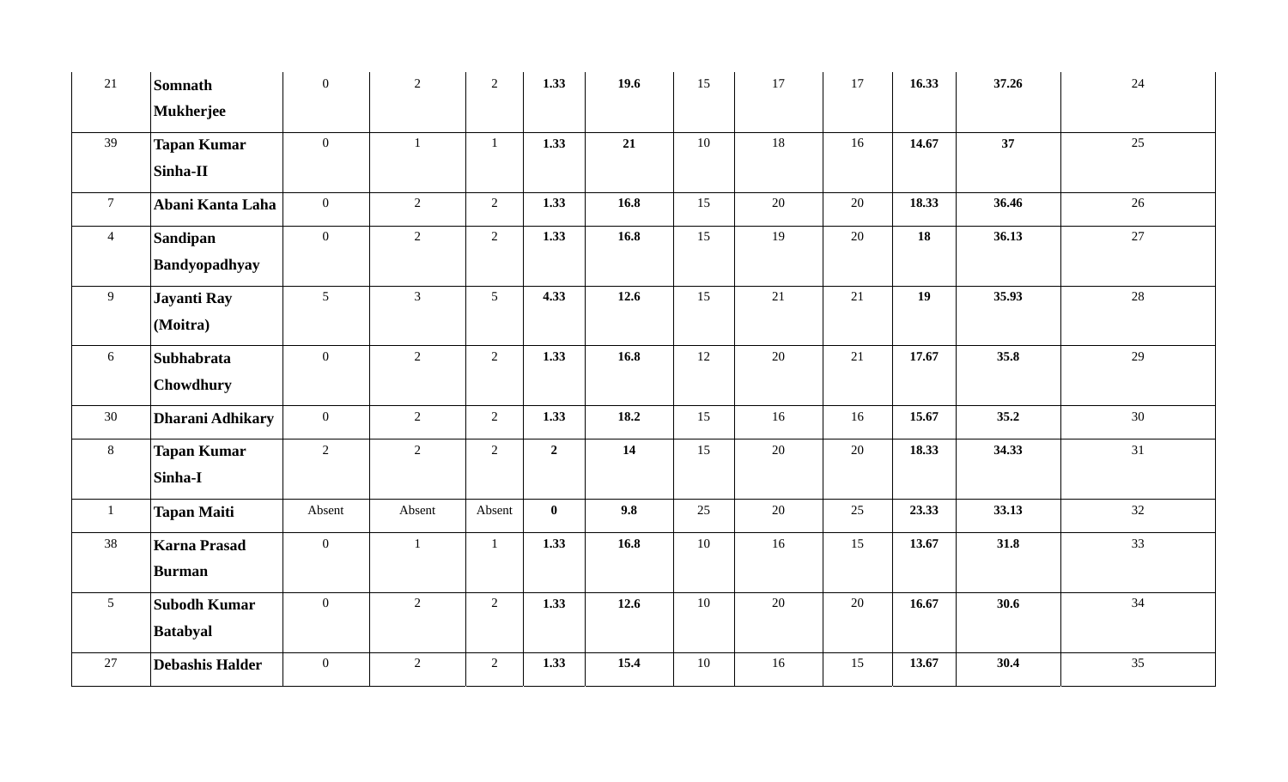| 21              | <b>Somnath</b>          | $\mathbf{0}$    | 2              | 2               | 1.33           | 19.6 | 15 | 17 | 17 | 16.33 | 37.26 | 24 |
|-----------------|-------------------------|-----------------|----------------|-----------------|----------------|------|----|----|----|-------|-------|----|
|                 | <b>Mukherjee</b>        |                 |                |                 |                |      |    |    |    |       |       |    |
| 39              | <b>Tapan Kumar</b>      | $\overline{0}$  | $\mathbf{1}$   | $\mathbf{1}$    | 1.33           | 21   | 10 | 18 | 16 | 14.67 | 37    | 25 |
|                 | Sinha-II                |                 |                |                 |                |      |    |    |    |       |       |    |
| $\overline{7}$  | Abani Kanta Laha        | $\mathbf{0}$    | 2              | $\overline{2}$  | 1.33           | 16.8 | 15 | 20 | 20 | 18.33 | 36.46 | 26 |
| $\overline{4}$  | Sandipan                | $\mathbf{0}$    | $\overline{2}$ | $\overline{2}$  | 1.33           | 16.8 | 15 | 19 | 20 | 18    | 36.13 | 27 |
|                 | Bandyopadhyay           |                 |                |                 |                |      |    |    |    |       |       |    |
| 9 <sup>°</sup>  | Jayanti Ray             | $5\overline{)}$ | $\mathfrak{Z}$ | $5\overline{)}$ | 4.33           | 12.6 | 15 | 21 | 21 | 19    | 35.93 | 28 |
|                 | (Moitra)                |                 |                |                 |                |      |    |    |    |       |       |    |
| 6               | Subhabrata              | $\mathbf{0}$    | 2              | 2               | 1.33           | 16.8 | 12 | 20 | 21 | 17.67 | 35.8  | 29 |
|                 | Chowdhury               |                 |                |                 |                |      |    |    |    |       |       |    |
| 30              | <b>Dharani Adhikary</b> | $\mathbf{0}$    | 2              | 2               | 1.33           | 18.2 | 15 | 16 | 16 | 15.67 | 35.2  | 30 |
| $8\phantom{.}$  | <b>Tapan Kumar</b>      | 2               | 2              | $\overline{2}$  | $\overline{2}$ | 14   | 15 | 20 | 20 | 18.33 | 34.33 | 31 |
|                 | Sinha-I                 |                 |                |                 |                |      |    |    |    |       |       |    |
| $\mathbf{1}$    | <b>Tapan Maiti</b>      | Absent          | Absent         | Absent          | $\mathbf{0}$   | 9.8  | 25 | 20 | 25 | 23.33 | 33.13 | 32 |
| 38              | <b>Karna Prasad</b>     | $\overline{0}$  | $\mathbf{1}$   | $\overline{1}$  | 1.33           | 16.8 | 10 | 16 | 15 | 13.67 | 31.8  | 33 |
|                 | <b>Burman</b>           |                 |                |                 |                |      |    |    |    |       |       |    |
| $5\overline{)}$ | <b>Subodh Kumar</b>     | $\overline{0}$  | 2              | $\overline{2}$  | 1.33           | 12.6 | 10 | 20 | 20 | 16.67 | 30.6  | 34 |
|                 | <b>Batabyal</b>         |                 |                |                 |                |      |    |    |    |       |       |    |
| 27              | <b>Debashis Halder</b>  | $\mathbf{0}$    | 2              | 2               | 1.33           | 15.4 | 10 | 16 | 15 | 13.67 | 30.4  | 35 |